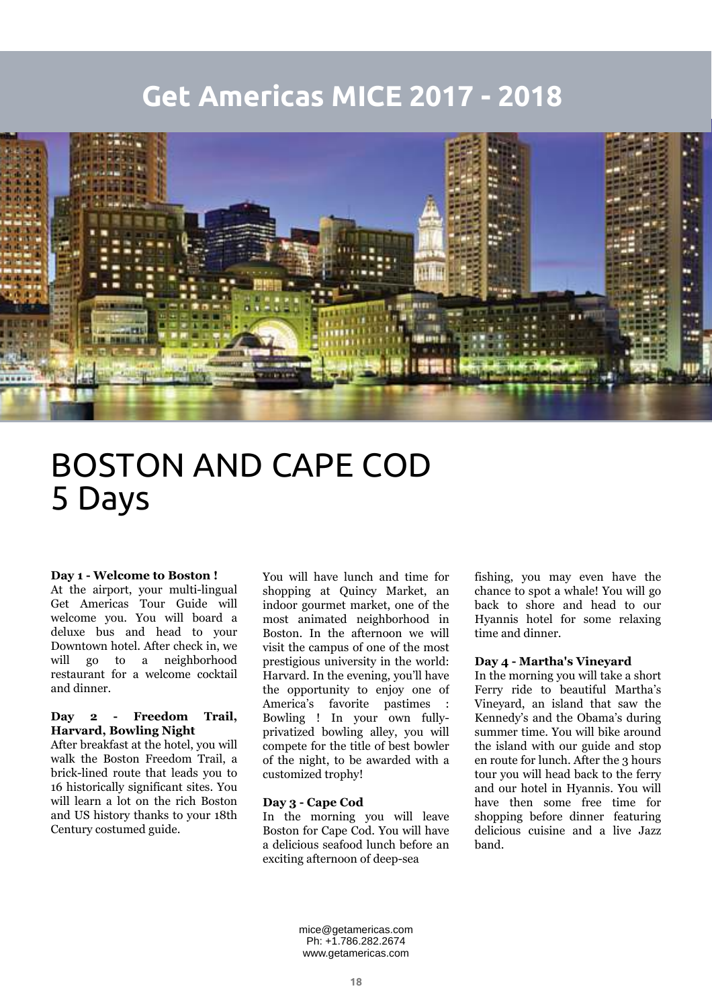# **Get Americas MICE 2017 - 2018**



# BOSTON AND CAPE COD 5 Days

#### **Day 1 - Welcome to Boston !**

At the airport, your multi-lingual Get Americas Tour Guide will welcome you. You will board a deluxe bus and head to your Downtown hotel. After check in, we will go to a neighborhood restaurant for a welcome cocktail and dinner.

# **Day 2 - Freedom Trail, Harvard, Bowling Night**

After breakfast at the hotel, you will walk the Boston Freedom Trail, a brick-lined route that leads you to 16 historically significant sites. You will learn a lot on the rich Boston and US history thanks to your 18th Century costumed guide.

You will have lunch and time for shopping at Quincy Market, an indoor gourmet market, one of the most animated neighborhood in Boston. In the afternoon we will visit the campus of one of the most prestigious university in the world: Harvard. In the evening, you'll have the opportunity to enjoy one of America's favorite pastimes : Bowling ! In your own fullyprivatized bowling alley, you will compete for the title of best bowler of the night, to be awarded with a customized trophy!

## **Day 3 - Cape Cod**

In the morning you will leave Boston for Cape Cod. You will have a delicious seafood lunch before an exciting afternoon of deep-sea

fishing, you may even have the chance to spot a whale! You will go back to shore and head to our Hyannis hotel for some relaxing time and dinner.

### **Day 4 - Martha's Vineyard**

In the morning you will take a short Ferry ride to beautiful Martha's Vineyard, an island that saw the Kennedy's and the Obama's during summer time. You will bike around the island with our guide and stop en route for lunch. After the 3 hours tour you will head back to the ferry and our hotel in Hyannis. You will have then some free time for shopping before dinner featuring delicious cuisine and a live Jazz band.

mice@getamericas.com Ph: +1.786.282.2674 www.getamericas.com